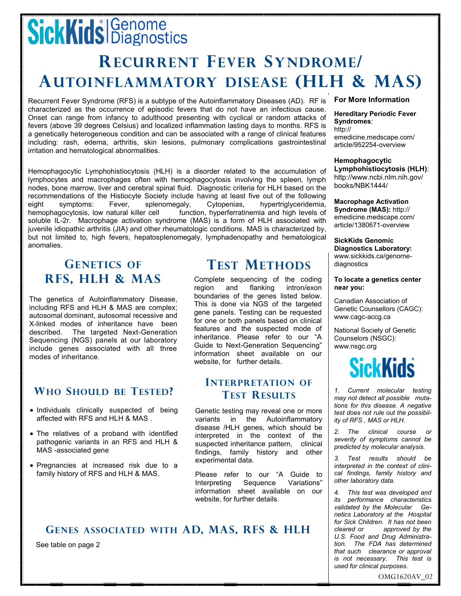## **SickKids** Biagnostics

## **RECURRENT FEVER SYNDROME/ AUTOINFLAMMATORY DISEASE (HLH & MAS)**

Recurrent Fever Syndrome (RFS) is a subtype of the Autoinflammatory Diseases (AD). RF is characterized as the occurrence of episodic fevers that do not have an infectious cause. Onset can range from infancy to adulthood presenting with cyclical or random attacks of fevers (above 39 degrees Celsius) and localized inflammation lasting days to months. RFS is a genetically heterogeneous condition and can be associated with a range of clinical features including: rash, edema, arthritis, skin lesions, pulmonary complications gastrointestinal irritation and hematological abnormalities.

Hemophagocytic Lymphohistiocytosis (HLH) is a disorder related to the accumulation of lymphocytes and macrophages often with hemophagocytosis involving the spleen, lymph nodes, bone marrow, liver and cerebral spinal fluid. Diagnostic criteria for HLH based on the recommendations of the Histiocyte Society include having at least five out of the following eight symptoms: Fever, splenomegaly, Cytopenias, hypertriglyceridemia, hemophagocytosis, low natural killer cell function, hyperferratinemia and high levels of soluble IL-2r. Macrophage activation syndrome (MAS) is a form of HLH associated with juvenile idiopathic arthritis (JIA) and other rheumatologic conditions. MAS is characterized by, but not limited to, high fevers, hepatosplenomegaly, lymphadenopathy and hematological anomalies.

#### **GENETICS OF RFS, HLH & MAS**

The genetics of Autoinflammatory Disease, including RFS and HLH & MAS are complex; autosomal dominant, autosomal recessive and X-linked modes of inheritance have been described. The targeted Next-Generation Sequencing (NGS) panels at our laboratory include genes associated with all three modes of inheritance.

#### **WHO SHOULD BE TESTED?**

- Individuals clinically suspected of being affected with RFS and HLH & MAS .
- The relatives of a proband with identified pathogenic variants in an RFS and HLH & MAS -associated gene
- Pregnancies at increased risk due to a family history of RFS and HLH & MAS.

### **TEST METHODS**

Complete sequencing of the coding region and flanking intron/exon boundaries of the genes listed below. This is done via NGS of the targeted gene panels. Testing can be requested for one or both panels based on clinical features and the suspected mode of inheritance. Please refer to our "A Guide to Next-Generation Sequencing" information sheet available on our website, for further details.

#### **INTERPRETATION OF TEST RESULTS**

Genetic testing may reveal one or more variants in the Autoinflammatory disease /HLH genes, which should be interpreted in the context of the suspected inheritance pattern, clinical findings, family history and other experimental data.

Please refer to our "A Guide to Interpreting Sequence Variations" information sheet available on our website, for further details.

#### **GENES ASSOCIATED WITH AD, MAS, RFS & HLH**

See table on page 2

#### **For More Information**

**Hereditary Periodic Fever Syndromes**: http:// emedicine.medscape.com/ article/952254-overview

#### **Hemophagocytic Lymphohistiocytosis (HLH)**: http://www.ncbi.nlm.nih.gov/ books/NBK1444/

**Macrophage Activation Syndrome (MAS):** http:// emedicine.medscape.com/ article/1380671-overview

**SickKids Genomic Diagnostics Laboratory:** www.sickkids.ca/genomediagnostics

#### **To locate a genetics center near you:**

Canadian Association of Genetic Counsellors (CAGC): www.cagc-accg.ca

National Society of Genetic Counselors (NSGC): www.nsgc.org

## **SickKids**

*1. Current molecular testing may not detect all possible mutations for this disease. A negative test does not rule out the possibility of RFS , MAS or HLH.*

*2. The clinical course or severity of symptoms cannot be predicted by molecular analysis.*

*3. Test results should be interpreted in the context of clinical findings, family history and other laboratory data.*

*4. This test was developed and its performance characteristics validated by the Molecular Genetics Laboratory at the Hospital for Sick Children. It has not been cleared or approved by the U.S. Food and Drug Administration. The FDA has determined that such clearance or approval is not necessary. This test is used for clinical purposes.*